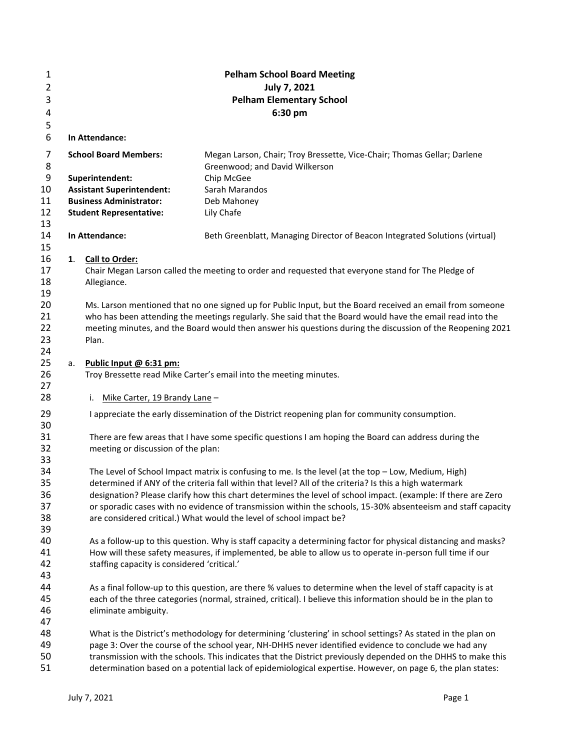| $\mathbf{1}$ |                                 |                                             | <b>Pelham School Board Meeting</b>                                                                             |  |  |  |  |  |  |
|--------------|---------------------------------|---------------------------------------------|----------------------------------------------------------------------------------------------------------------|--|--|--|--|--|--|
| 2            | July 7, 2021                    |                                             |                                                                                                                |  |  |  |  |  |  |
| 3            | <b>Pelham Elementary School</b> |                                             |                                                                                                                |  |  |  |  |  |  |
| 4            |                                 |                                             | 6:30 pm                                                                                                        |  |  |  |  |  |  |
| 5            |                                 |                                             |                                                                                                                |  |  |  |  |  |  |
| 6            |                                 | In Attendance:                              |                                                                                                                |  |  |  |  |  |  |
| 7<br>8       |                                 | <b>School Board Members:</b>                | Megan Larson, Chair; Troy Bressette, Vice-Chair; Thomas Gellar; Darlene<br>Greenwood; and David Wilkerson      |  |  |  |  |  |  |
| 9            |                                 | Superintendent:                             | Chip McGee                                                                                                     |  |  |  |  |  |  |
| 10           |                                 | <b>Assistant Superintendent:</b>            | Sarah Marandos                                                                                                 |  |  |  |  |  |  |
| 11<br>12     |                                 | <b>Business Administrator:</b>              | Deb Mahoney                                                                                                    |  |  |  |  |  |  |
| 13           |                                 | <b>Student Representative:</b>              | Lily Chafe                                                                                                     |  |  |  |  |  |  |
| 14<br>15     |                                 | In Attendance:                              | Beth Greenblatt, Managing Director of Beacon Integrated Solutions (virtual)                                    |  |  |  |  |  |  |
| 16           | 1.                              | Call to Order:                              |                                                                                                                |  |  |  |  |  |  |
| 17           |                                 |                                             | Chair Megan Larson called the meeting to order and requested that everyone stand for The Pledge of             |  |  |  |  |  |  |
| 18           |                                 | Allegiance.                                 |                                                                                                                |  |  |  |  |  |  |
| 19           |                                 |                                             |                                                                                                                |  |  |  |  |  |  |
| 20           |                                 |                                             | Ms. Larson mentioned that no one signed up for Public Input, but the Board received an email from someone      |  |  |  |  |  |  |
| 21           |                                 |                                             | who has been attending the meetings regularly. She said that the Board would have the email read into the      |  |  |  |  |  |  |
| 22           |                                 |                                             | meeting minutes, and the Board would then answer his questions during the discussion of the Reopening 2021     |  |  |  |  |  |  |
| 23           |                                 | Plan.                                       |                                                                                                                |  |  |  |  |  |  |
| 24<br>25     |                                 | Public Input @ 6:31 pm:                     |                                                                                                                |  |  |  |  |  |  |
| 26           | а.                              |                                             | Troy Bressette read Mike Carter's email into the meeting minutes.                                              |  |  |  |  |  |  |
| 27           |                                 |                                             |                                                                                                                |  |  |  |  |  |  |
| 28           |                                 | i. Mike Carter, 19 Brandy Lane -            |                                                                                                                |  |  |  |  |  |  |
| 29           |                                 |                                             | I appreciate the early dissemination of the District reopening plan for community consumption.                 |  |  |  |  |  |  |
| 30<br>31     |                                 |                                             | There are few areas that I have some specific questions I am hoping the Board can address during the           |  |  |  |  |  |  |
| 32           |                                 | meeting or discussion of the plan:          |                                                                                                                |  |  |  |  |  |  |
| 33           |                                 |                                             |                                                                                                                |  |  |  |  |  |  |
| 34           |                                 |                                             | The Level of School Impact matrix is confusing to me. Is the level (at the top - Low, Medium, High)            |  |  |  |  |  |  |
| 35           |                                 |                                             | determined if ANY of the criteria fall within that level? All of the criteria? Is this a high watermark        |  |  |  |  |  |  |
| 36           |                                 |                                             | designation? Please clarify how this chart determines the level of school impact. (example: If there are Zero  |  |  |  |  |  |  |
| 37           |                                 |                                             | or sporadic cases with no evidence of transmission within the schools, 15-30% absenteeism and staff capacity   |  |  |  |  |  |  |
| 38           |                                 |                                             | are considered critical.) What would the level of school impact be?                                            |  |  |  |  |  |  |
| 39           |                                 |                                             |                                                                                                                |  |  |  |  |  |  |
| 40           |                                 |                                             | As a follow-up to this question. Why is staff capacity a determining factor for physical distancing and masks? |  |  |  |  |  |  |
| 41           |                                 |                                             | How will these safety measures, if implemented, be able to allow us to operate in-person full time if our      |  |  |  |  |  |  |
| 42           |                                 | staffing capacity is considered 'critical.' |                                                                                                                |  |  |  |  |  |  |
| 43           |                                 |                                             |                                                                                                                |  |  |  |  |  |  |
| 44           |                                 |                                             | As a final follow-up to this question, are there % values to determine when the level of staff capacity is at  |  |  |  |  |  |  |
| 45           |                                 |                                             | each of the three categories (normal, strained, critical). I believe this information should be in the plan to |  |  |  |  |  |  |
| 46<br>47     |                                 | eliminate ambiguity.                        |                                                                                                                |  |  |  |  |  |  |
| 48           |                                 |                                             | What is the District's methodology for determining 'clustering' in school settings? As stated in the plan on   |  |  |  |  |  |  |
| 49           |                                 |                                             | page 3: Over the course of the school year, NH-DHHS never identified evidence to conclude we had any           |  |  |  |  |  |  |
| 50           |                                 |                                             | transmission with the schools. This indicates that the District previously depended on the DHHS to make this   |  |  |  |  |  |  |
| 51           |                                 |                                             | determination based on a potential lack of epidemiological expertise. However, on page 6, the plan states:     |  |  |  |  |  |  |
|              |                                 |                                             |                                                                                                                |  |  |  |  |  |  |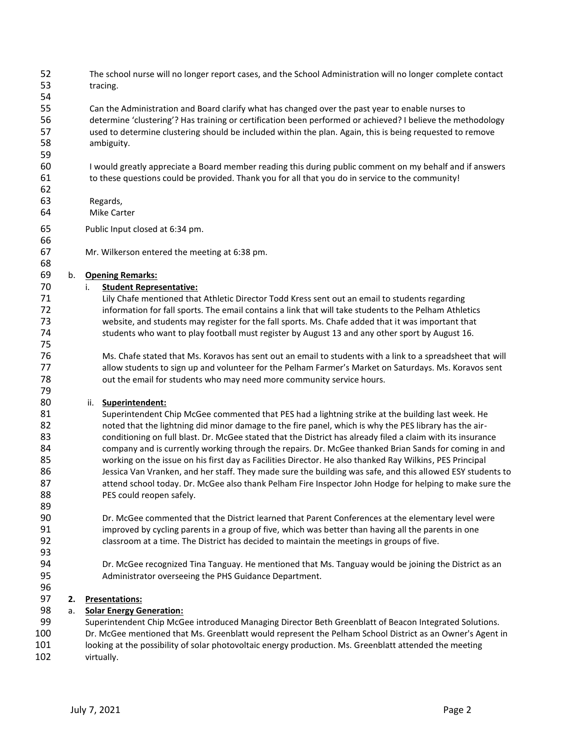The school nurse will no longer report cases, and the School Administration will no longer complete contact tracing.

 Can the Administration and Board clarify what has changed over the past year to enable nurses to determine 'clustering'? Has training or certification been performed or achieved? I believe the methodology used to determine clustering should be included within the plan. Again, this is being requested to remove ambiguity.

 I would greatly appreciate a Board member reading this during public comment on my behalf and if answers to these questions could be provided. Thank you for all that you do in service to the community!

### Regards,

- Mike Carter
- Public Input closed at 6:34 pm.
- Mr. Wilkerson entered the meeting at 6:38 pm.

## b. **Opening Remarks:**

## i. **Student Representative:**

 Lily Chafe mentioned that Athletic Director Todd Kress sent out an email to students regarding information for fall sports. The email contains a link that will take students to the Pelham Athletics website, and students may register for the fall sports. Ms. Chafe added that it was important that students who want to play football must register by August 13 and any other sport by August 16.

 Ms. Chafe stated that Ms. Koravos has sent out an email to students with a link to a spreadsheet that will allow students to sign up and volunteer for the Pelham Farmer's Market on Saturdays. Ms. Koravos sent 78 out the email for students who may need more community service hours.

### ii. **Superintendent:**

 Superintendent Chip McGee commented that PES had a lightning strike at the building last week. He noted that the lightning did minor damage to the fire panel, which is why the PES library has the air- conditioning on full blast. Dr. McGee stated that the District has already filed a claim with its insurance 84 company and is currently working through the repairs. Dr. McGee thanked Brian Sands for coming in and working on the issue on his first day as Facilities Director. He also thanked Ray Wilkins, PES Principal Jessica Van Vranken, and her staff. They made sure the building was safe, and this allowed ESY students to 87 attend school today. Dr. McGee also thank Pelham Fire Inspector John Hodge for helping to make sure the **PES could reopen safely.** 

 Dr. McGee commented that the District learned that Parent Conferences at the elementary level were improved by cycling parents in a group of five, which was better than having all the parents in one classroom at a time. The District has decided to maintain the meetings in groups of five.

 Dr. McGee recognized Tina Tanguay. He mentioned that Ms. Tanguay would be joining the District as an Administrator overseeing the PHS Guidance Department.

# **2. Presentations:**

# a. **Solar Energy Generation:**

 Superintendent Chip McGee introduced Managing Director Beth Greenblatt of Beacon Integrated Solutions. Dr. McGee mentioned that Ms. Greenblatt would represent the Pelham School District as an Owner's Agent in 101 looking at the possibility of solar photovoltaic energy production. Ms. Greenblatt attended the meeting virtually.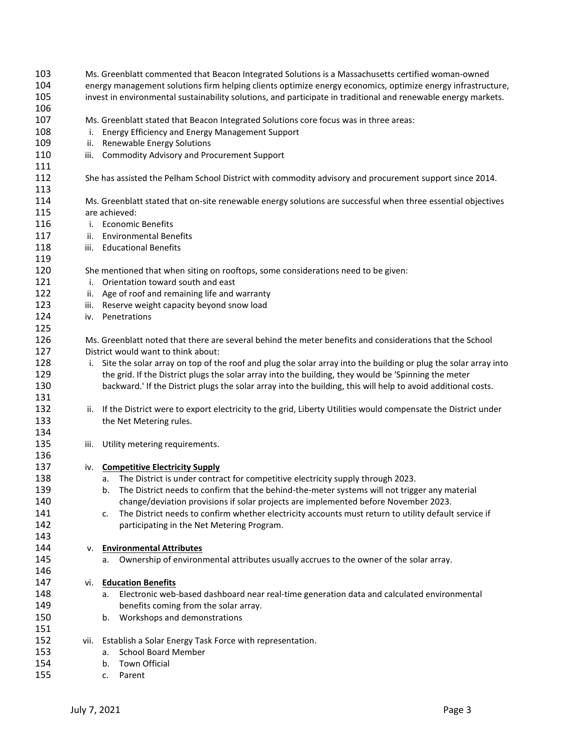| 103<br>104<br>105<br>106 | Ms. Greenblatt commented that Beacon Integrated Solutions is a Massachusetts certified woman-owned<br>energy management solutions firm helping clients optimize energy economics, optimize energy infrastructure,<br>invest in environmental sustainability solutions, and participate in traditional and renewable energy markets. |                                                                                                                    |  |  |  |  |  |  |  |
|--------------------------|-------------------------------------------------------------------------------------------------------------------------------------------------------------------------------------------------------------------------------------------------------------------------------------------------------------------------------------|--------------------------------------------------------------------------------------------------------------------|--|--|--|--|--|--|--|
| 107                      |                                                                                                                                                                                                                                                                                                                                     | Ms. Greenblatt stated that Beacon Integrated Solutions core focus was in three areas:                              |  |  |  |  |  |  |  |
| 108                      |                                                                                                                                                                                                                                                                                                                                     | i. Energy Efficiency and Energy Management Support                                                                 |  |  |  |  |  |  |  |
| 109                      | ii.                                                                                                                                                                                                                                                                                                                                 | <b>Renewable Energy Solutions</b>                                                                                  |  |  |  |  |  |  |  |
| 110                      |                                                                                                                                                                                                                                                                                                                                     | iii. Commodity Advisory and Procurement Support                                                                    |  |  |  |  |  |  |  |
| 111                      |                                                                                                                                                                                                                                                                                                                                     |                                                                                                                    |  |  |  |  |  |  |  |
| 112                      |                                                                                                                                                                                                                                                                                                                                     | She has assisted the Pelham School District with commodity advisory and procurement support since 2014.            |  |  |  |  |  |  |  |
| 113                      |                                                                                                                                                                                                                                                                                                                                     |                                                                                                                    |  |  |  |  |  |  |  |
| 114                      |                                                                                                                                                                                                                                                                                                                                     | Ms. Greenblatt stated that on-site renewable energy solutions are successful when three essential objectives       |  |  |  |  |  |  |  |
| 115                      |                                                                                                                                                                                                                                                                                                                                     | are achieved:                                                                                                      |  |  |  |  |  |  |  |
| 116                      |                                                                                                                                                                                                                                                                                                                                     | i. Economic Benefits                                                                                               |  |  |  |  |  |  |  |
| 117                      | ii.                                                                                                                                                                                                                                                                                                                                 | <b>Environmental Benefits</b>                                                                                      |  |  |  |  |  |  |  |
| 118                      | iii.                                                                                                                                                                                                                                                                                                                                | <b>Educational Benefits</b>                                                                                        |  |  |  |  |  |  |  |
| 119                      |                                                                                                                                                                                                                                                                                                                                     |                                                                                                                    |  |  |  |  |  |  |  |
| 120                      |                                                                                                                                                                                                                                                                                                                                     | She mentioned that when siting on rooftops, some considerations need to be given:                                  |  |  |  |  |  |  |  |
| 121                      | i.                                                                                                                                                                                                                                                                                                                                  | Orientation toward south and east                                                                                  |  |  |  |  |  |  |  |
| 122                      | ii.                                                                                                                                                                                                                                                                                                                                 | Age of roof and remaining life and warranty                                                                        |  |  |  |  |  |  |  |
| 123                      |                                                                                                                                                                                                                                                                                                                                     | iii. Reserve weight capacity beyond snow load                                                                      |  |  |  |  |  |  |  |
| 124                      | iv.                                                                                                                                                                                                                                                                                                                                 | Penetrations                                                                                                       |  |  |  |  |  |  |  |
| 125                      |                                                                                                                                                                                                                                                                                                                                     |                                                                                                                    |  |  |  |  |  |  |  |
| 126                      |                                                                                                                                                                                                                                                                                                                                     | Ms. Greenblatt noted that there are several behind the meter benefits and considerations that the School           |  |  |  |  |  |  |  |
| 127                      |                                                                                                                                                                                                                                                                                                                                     | District would want to think about:                                                                                |  |  |  |  |  |  |  |
| 128                      |                                                                                                                                                                                                                                                                                                                                     | i. Site the solar array on top of the roof and plug the solar array into the building or plug the solar array into |  |  |  |  |  |  |  |
| 129                      |                                                                                                                                                                                                                                                                                                                                     | the grid. If the District plugs the solar array into the building, they would be 'Spinning the meter               |  |  |  |  |  |  |  |
| 130                      |                                                                                                                                                                                                                                                                                                                                     | backward.' If the District plugs the solar array into the building, this will help to avoid additional costs.      |  |  |  |  |  |  |  |
| 131                      |                                                                                                                                                                                                                                                                                                                                     |                                                                                                                    |  |  |  |  |  |  |  |
| 132                      | ii.                                                                                                                                                                                                                                                                                                                                 | If the District were to export electricity to the grid, Liberty Utilities would compensate the District under      |  |  |  |  |  |  |  |
| 133                      |                                                                                                                                                                                                                                                                                                                                     | the Net Metering rules.                                                                                            |  |  |  |  |  |  |  |
| 134                      |                                                                                                                                                                                                                                                                                                                                     |                                                                                                                    |  |  |  |  |  |  |  |
| 135                      | iii.                                                                                                                                                                                                                                                                                                                                | Utility metering requirements.                                                                                     |  |  |  |  |  |  |  |
| 136                      |                                                                                                                                                                                                                                                                                                                                     |                                                                                                                    |  |  |  |  |  |  |  |
| 137                      |                                                                                                                                                                                                                                                                                                                                     | iv. Competitive Electricity Supply                                                                                 |  |  |  |  |  |  |  |
| 138                      |                                                                                                                                                                                                                                                                                                                                     | a. The District is under contract for competitive electricity supply through 2023.                                 |  |  |  |  |  |  |  |
| 139                      |                                                                                                                                                                                                                                                                                                                                     | The District needs to confirm that the behind-the-meter systems will not trigger any material                      |  |  |  |  |  |  |  |
| 140                      |                                                                                                                                                                                                                                                                                                                                     | change/deviation provisions if solar projects are implemented before November 2023.                                |  |  |  |  |  |  |  |
| 141                      |                                                                                                                                                                                                                                                                                                                                     | The District needs to confirm whether electricity accounts must return to utility default service if<br>c.         |  |  |  |  |  |  |  |
| 142                      |                                                                                                                                                                                                                                                                                                                                     | participating in the Net Metering Program.                                                                         |  |  |  |  |  |  |  |
| 143                      |                                                                                                                                                                                                                                                                                                                                     |                                                                                                                    |  |  |  |  |  |  |  |
| 144                      | v.                                                                                                                                                                                                                                                                                                                                  | <b>Environmental Attributes</b>                                                                                    |  |  |  |  |  |  |  |
| 145                      |                                                                                                                                                                                                                                                                                                                                     | Ownership of environmental attributes usually accrues to the owner of the solar array.<br>а.                       |  |  |  |  |  |  |  |
| 146                      |                                                                                                                                                                                                                                                                                                                                     |                                                                                                                    |  |  |  |  |  |  |  |
| 147                      | vi.                                                                                                                                                                                                                                                                                                                                 | <b>Education Benefits</b>                                                                                          |  |  |  |  |  |  |  |
| 148                      |                                                                                                                                                                                                                                                                                                                                     | Electronic web-based dashboard near real-time generation data and calculated environmental<br>a.                   |  |  |  |  |  |  |  |
| 149                      |                                                                                                                                                                                                                                                                                                                                     | benefits coming from the solar array.                                                                              |  |  |  |  |  |  |  |
| 150                      |                                                                                                                                                                                                                                                                                                                                     | Workshops and demonstrations<br>b.                                                                                 |  |  |  |  |  |  |  |
| 151                      |                                                                                                                                                                                                                                                                                                                                     |                                                                                                                    |  |  |  |  |  |  |  |
| 152                      |                                                                                                                                                                                                                                                                                                                                     | vii. Establish a Solar Energy Task Force with representation.                                                      |  |  |  |  |  |  |  |
| 153                      |                                                                                                                                                                                                                                                                                                                                     | <b>School Board Member</b><br>a.                                                                                   |  |  |  |  |  |  |  |
| 154                      |                                                                                                                                                                                                                                                                                                                                     | Town Official<br>b.                                                                                                |  |  |  |  |  |  |  |
| 155                      |                                                                                                                                                                                                                                                                                                                                     | Parent<br>c.                                                                                                       |  |  |  |  |  |  |  |
|                          |                                                                                                                                                                                                                                                                                                                                     |                                                                                                                    |  |  |  |  |  |  |  |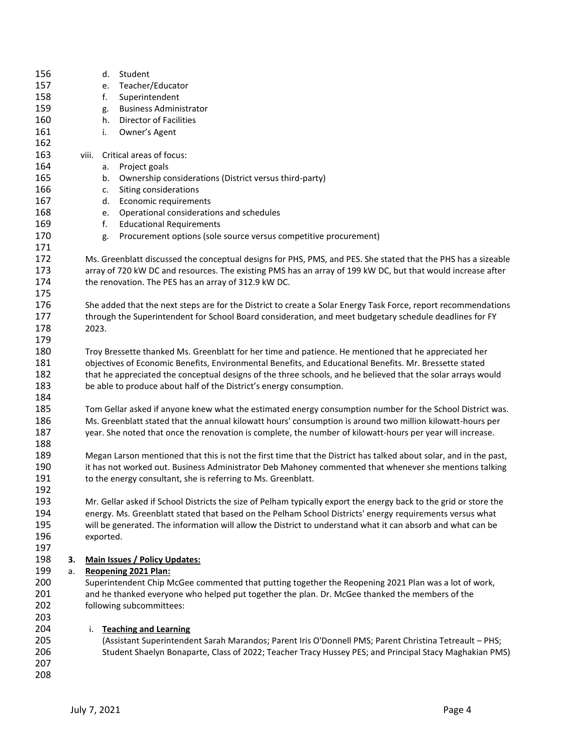| 156<br>157<br>158<br>159<br>160<br>161                             |          |                                                                                                                                                                                                                                                                                                                                                                                                         | e.<br>f.<br>g.<br>h.<br>i.             | d. Student<br>Teacher/Educator<br>Superintendent<br><b>Business Administrator</b><br><b>Director of Facilities</b><br>Owner's Agent                                                                                                                                                                                                          |  |  |  |  |
|--------------------------------------------------------------------|----------|---------------------------------------------------------------------------------------------------------------------------------------------------------------------------------------------------------------------------------------------------------------------------------------------------------------------------------------------------------------------------------------------------------|----------------------------------------|----------------------------------------------------------------------------------------------------------------------------------------------------------------------------------------------------------------------------------------------------------------------------------------------------------------------------------------------|--|--|--|--|
| 162<br>163<br>164<br>165<br>166<br>167<br>168<br>169<br>170<br>171 |          | viii.                                                                                                                                                                                                                                                                                                                                                                                                   | a.<br>b.<br>c.<br>d.<br>e.<br>f.<br>g. | Critical areas of focus:<br>Project goals<br>Ownership considerations (District versus third-party)<br>Siting considerations<br>Economic requirements<br>Operational considerations and schedules<br><b>Educational Requirements</b><br>Procurement options (sole source versus competitive procurement)                                     |  |  |  |  |
| 172<br>173<br>174<br>175                                           |          |                                                                                                                                                                                                                                                                                                                                                                                                         |                                        | Ms. Greenblatt discussed the conceptual designs for PHS, PMS, and PES. She stated that the PHS has a sizeable<br>array of 720 kW DC and resources. The existing PMS has an array of 199 kW DC, but that would increase after<br>the renovation. The PES has an array of 312.9 kW DC.                                                         |  |  |  |  |
| 176<br>177<br>178<br>179                                           |          | 2023.                                                                                                                                                                                                                                                                                                                                                                                                   |                                        | She added that the next steps are for the District to create a Solar Energy Task Force, report recommendations<br>through the Superintendent for School Board consideration, and meet budgetary schedule deadlines for FY                                                                                                                    |  |  |  |  |
| 180<br>181<br>182<br>183<br>184                                    |          | Troy Bressette thanked Ms. Greenblatt for her time and patience. He mentioned that he appreciated her<br>objectives of Economic Benefits, Environmental Benefits, and Educational Benefits. Mr. Bressette stated<br>that he appreciated the conceptual designs of the three schools, and he believed that the solar arrays would<br>be able to produce about half of the District's energy consumption. |                                        |                                                                                                                                                                                                                                                                                                                                              |  |  |  |  |
| 185<br>186<br>187<br>188                                           |          | Tom Gellar asked if anyone knew what the estimated energy consumption number for the School District was.<br>Ms. Greenblatt stated that the annual kilowatt hours' consumption is around two million kilowatt-hours per<br>year. She noted that once the renovation is complete, the number of kilowatt-hours per year will increase.                                                                   |                                        |                                                                                                                                                                                                                                                                                                                                              |  |  |  |  |
| 189<br>190<br>191<br>192                                           |          | Megan Larson mentioned that this is not the first time that the District has talked about solar, and in the past,<br>it has not worked out. Business Administrator Deb Mahoney commented that whenever she mentions talking<br>to the energy consultant, she is referring to Ms. Greenblatt.                                                                                                            |                                        |                                                                                                                                                                                                                                                                                                                                              |  |  |  |  |
| 193<br>194<br>195<br>196<br>197                                    |          | exported.                                                                                                                                                                                                                                                                                                                                                                                               |                                        | Mr. Gellar asked if School Districts the size of Pelham typically export the energy back to the grid or store the<br>energy. Ms. Greenblatt stated that based on the Pelham School Districts' energy requirements versus what<br>will be generated. The information will allow the District to understand what it can absorb and what can be |  |  |  |  |
| 198<br>199<br>200<br>201<br>202<br>203                             | З.<br>a. |                                                                                                                                                                                                                                                                                                                                                                                                         |                                        | <b>Main Issues / Policy Updates:</b><br><b>Reopening 2021 Plan:</b><br>Superintendent Chip McGee commented that putting together the Reopening 2021 Plan was a lot of work,<br>and he thanked everyone who helped put together the plan. Dr. McGee thanked the members of the<br>following subcommittees:                                    |  |  |  |  |
| 204<br>205<br>206<br>207<br>208                                    |          | i.                                                                                                                                                                                                                                                                                                                                                                                                      |                                        | <b>Teaching and Learning</b><br>(Assistant Superintendent Sarah Marandos; Parent Iris O'Donnell PMS; Parent Christina Tetreault - PHS;<br>Student Shaelyn Bonaparte, Class of 2022; Teacher Tracy Hussey PES; and Principal Stacy Maghakian PMS)                                                                                             |  |  |  |  |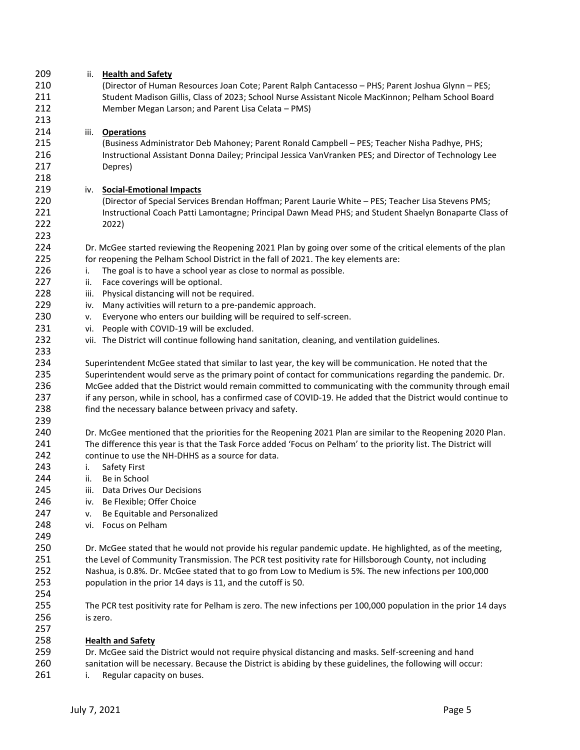| 209 | ii. Health and Safety                                                                                           |  |  |  |  |  |  |
|-----|-----------------------------------------------------------------------------------------------------------------|--|--|--|--|--|--|
| 210 | (Director of Human Resources Joan Cote; Parent Ralph Cantacesso - PHS; Parent Joshua Glynn - PES;               |  |  |  |  |  |  |
| 211 | Student Madison Gillis, Class of 2023; School Nurse Assistant Nicole MacKinnon; Pelham School Board             |  |  |  |  |  |  |
| 212 | Member Megan Larson; and Parent Lisa Celata - PMS)                                                              |  |  |  |  |  |  |
| 213 |                                                                                                                 |  |  |  |  |  |  |
| 214 | iii. Operations                                                                                                 |  |  |  |  |  |  |
| 215 | (Business Administrator Deb Mahoney; Parent Ronald Campbell - PES; Teacher Nisha Padhye, PHS;                   |  |  |  |  |  |  |
| 216 | Instructional Assistant Donna Dailey; Principal Jessica VanVranken PES; and Director of Technology Lee          |  |  |  |  |  |  |
| 217 |                                                                                                                 |  |  |  |  |  |  |
|     | Depres)                                                                                                         |  |  |  |  |  |  |
| 218 |                                                                                                                 |  |  |  |  |  |  |
| 219 | <b>Social-Emotional Impacts</b><br>iv.                                                                          |  |  |  |  |  |  |
| 220 | (Director of Special Services Brendan Hoffman; Parent Laurie White - PES; Teacher Lisa Stevens PMS;             |  |  |  |  |  |  |
| 221 | Instructional Coach Patti Lamontagne; Principal Dawn Mead PHS; and Student Shaelyn Bonaparte Class of           |  |  |  |  |  |  |
| 222 | 2022)                                                                                                           |  |  |  |  |  |  |
| 223 |                                                                                                                 |  |  |  |  |  |  |
| 224 | Dr. McGee started reviewing the Reopening 2021 Plan by going over some of the critical elements of the plan     |  |  |  |  |  |  |
| 225 | for reopening the Pelham School District in the fall of 2021. The key elements are:                             |  |  |  |  |  |  |
| 226 | The goal is to have a school year as close to normal as possible.<br>i.                                         |  |  |  |  |  |  |
| 227 | Face coverings will be optional.<br>ii.                                                                         |  |  |  |  |  |  |
| 228 | Physical distancing will not be required.<br>iii.                                                               |  |  |  |  |  |  |
| 229 | Many activities will return to a pre-pandemic approach.<br>iv.                                                  |  |  |  |  |  |  |
| 230 | Everyone who enters our building will be required to self-screen.<br>v.                                         |  |  |  |  |  |  |
| 231 | People with COVID-19 will be excluded.<br>vi.                                                                   |  |  |  |  |  |  |
| 232 | vii. The District will continue following hand sanitation, cleaning, and ventilation guidelines.                |  |  |  |  |  |  |
| 233 |                                                                                                                 |  |  |  |  |  |  |
| 234 | Superintendent McGee stated that similar to last year, the key will be communication. He noted that the         |  |  |  |  |  |  |
| 235 |                                                                                                                 |  |  |  |  |  |  |
|     | Superintendent would serve as the primary point of contact for communications regarding the pandemic. Dr.       |  |  |  |  |  |  |
| 236 | McGee added that the District would remain committed to communicating with the community through email          |  |  |  |  |  |  |
| 237 | if any person, while in school, has a confirmed case of COVID-19. He added that the District would continue to  |  |  |  |  |  |  |
| 238 | find the necessary balance between privacy and safety.                                                          |  |  |  |  |  |  |
| 239 |                                                                                                                 |  |  |  |  |  |  |
| 240 | Dr. McGee mentioned that the priorities for the Reopening 2021 Plan are similar to the Reopening 2020 Plan.     |  |  |  |  |  |  |
| 241 | The difference this year is that the Task Force added 'Focus on Pelham' to the priority list. The District will |  |  |  |  |  |  |
| 242 | continue to use the NH-DHHS as a source for data.                                                               |  |  |  |  |  |  |
| 243 | Safety First<br>i.                                                                                              |  |  |  |  |  |  |
| 244 | Be in School<br>ii.                                                                                             |  |  |  |  |  |  |
| 245 | iii.<br>Data Drives Our Decisions                                                                               |  |  |  |  |  |  |
| 246 | Be Flexible; Offer Choice<br>iv.                                                                                |  |  |  |  |  |  |
| 247 | Be Equitable and Personalized<br>ν.                                                                             |  |  |  |  |  |  |
| 248 | Focus on Pelham<br>vi.                                                                                          |  |  |  |  |  |  |
| 249 |                                                                                                                 |  |  |  |  |  |  |
| 250 | Dr. McGee stated that he would not provide his regular pandemic update. He highlighted, as of the meeting,      |  |  |  |  |  |  |
| 251 | the Level of Community Transmission. The PCR test positivity rate for Hillsborough County, not including        |  |  |  |  |  |  |
| 252 | Nashua, is 0.8%. Dr. McGee stated that to go from Low to Medium is 5%. The new infections per 100,000           |  |  |  |  |  |  |
| 253 | population in the prior 14 days is 11, and the cutoff is 50.                                                    |  |  |  |  |  |  |
| 254 |                                                                                                                 |  |  |  |  |  |  |
|     |                                                                                                                 |  |  |  |  |  |  |
| 255 | The PCR test positivity rate for Pelham is zero. The new infections per 100,000 population in the prior 14 days |  |  |  |  |  |  |
| 256 | is zero.                                                                                                        |  |  |  |  |  |  |
| 257 |                                                                                                                 |  |  |  |  |  |  |
| 258 | <b>Health and Safety</b>                                                                                        |  |  |  |  |  |  |
| 259 | Dr. McGee said the District would not require physical distancing and masks. Self-screening and hand            |  |  |  |  |  |  |
| 260 | sanitation will be necessary. Because the District is abiding by these guidelines, the following will occur:    |  |  |  |  |  |  |
| 261 | Regular capacity on buses.<br>i.                                                                                |  |  |  |  |  |  |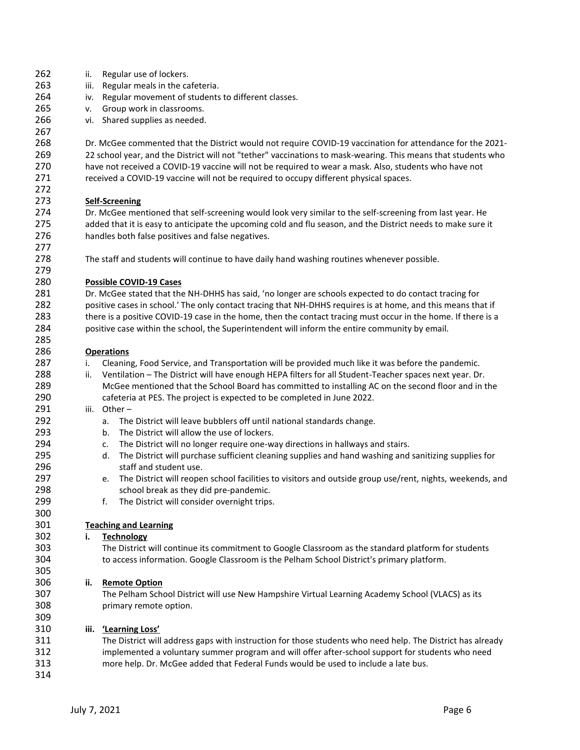263 iii. Regular meals in the cafeteria. iv. Regular movement of students to different classes. v. Group work in classrooms. vi. Shared supplies as needed. Dr. McGee commented that the District would not require COVID-19 vaccination for attendance for the 2021- 22 school year, and the District will not "tether" vaccinations to mask-wearing. This means that students who have not received a COVID-19 vaccine will not be required to wear a mask. Also, students who have not received a COVID-19 vaccine will not be required to occupy different physical spaces. **Self-Screening**  Dr. McGee mentioned that self-screening would look very similar to the self-screening from last year. He added that it is easy to anticipate the upcoming cold and flu season, and the District needs to make sure it handles both false positives and false negatives. The staff and students will continue to have daily hand washing routines whenever possible. **Possible COVID-19 Cases** Dr. McGee stated that the NH-DHHS has said, 'no longer are schools expected to do contact tracing for positive cases in school.' The only contact tracing that NH-DHHS requires is at home, and this means that if there is a positive COVID-19 case in the home, then the contact tracing must occur in the home. If there is a positive case within the school, the Superintendent will inform the entire community by email. **Operations** i. Cleaning, Food Service, and Transportation will be provided much like it was before the pandemic. ii. Ventilation – The District will have enough HEPA filters for all Student-Teacher spaces next year. Dr. McGee mentioned that the School Board has committed to installing AC on the second floor and in the cafeteria at PES. The project is expected to be completed in June 2022. iii. Other – a. The District will leave bubblers off until national standards change. b. The District will allow the use of lockers. c. The District will no longer require one-way directions in hallways and stairs. d. The District will purchase sufficient cleaning supplies and hand washing and sanitizing supplies for staff and student use. e. The District will reopen school facilities to visitors and outside group use/rent, nights, weekends, and school break as they did pre-pandemic. f. The District will consider overnight trips. **Teaching and Learning i. Technology** The District will continue its commitment to Google Classroom as the standard platform for students to access information. Google Classroom is the Pelham School District's primary platform. **ii. Remote Option** The Pelham School District will use New Hampshire Virtual Learning Academy School (VLACS) as its primary remote option. **iii. 'Learning Loss'** The District will address gaps with instruction for those students who need help. The District has already implemented a voluntary summer program and will offer after-school support for students who need more help. Dr. McGee added that Federal Funds would be used to include a late bus. 

ii. Regular use of lockers.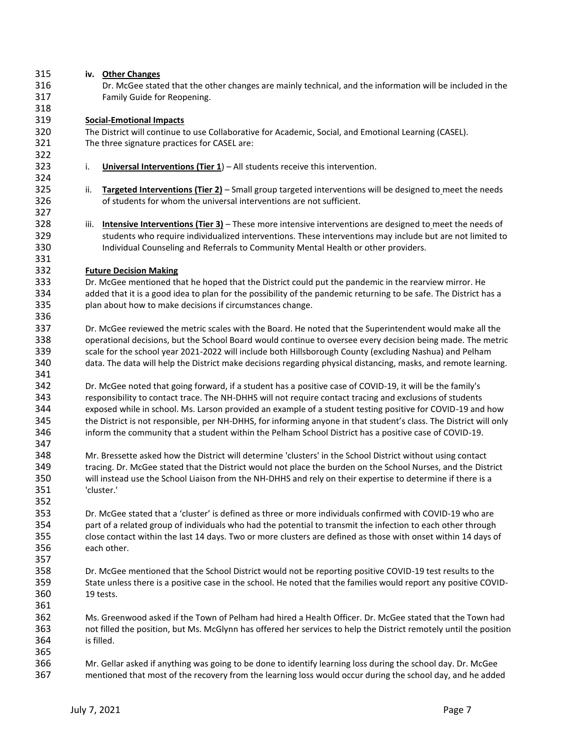| 315 | iv. Other Changes                                                                                                      |  |  |  |  |  |  |  |  |
|-----|------------------------------------------------------------------------------------------------------------------------|--|--|--|--|--|--|--|--|
| 316 | Dr. McGee stated that the other changes are mainly technical, and the information will be included in the              |  |  |  |  |  |  |  |  |
| 317 | Family Guide for Reopening.                                                                                            |  |  |  |  |  |  |  |  |
| 318 |                                                                                                                        |  |  |  |  |  |  |  |  |
| 319 |                                                                                                                        |  |  |  |  |  |  |  |  |
|     | <b>Social-Emotional Impacts</b>                                                                                        |  |  |  |  |  |  |  |  |
| 320 | The District will continue to use Collaborative for Academic, Social, and Emotional Learning (CASEL).                  |  |  |  |  |  |  |  |  |
| 321 | The three signature practices for CASEL are:                                                                           |  |  |  |  |  |  |  |  |
| 322 |                                                                                                                        |  |  |  |  |  |  |  |  |
| 323 | Universal Interventions (Tier $1$ ) – All students receive this intervention.<br>i.                                    |  |  |  |  |  |  |  |  |
| 324 |                                                                                                                        |  |  |  |  |  |  |  |  |
| 325 | ii.<br>Targeted Interventions (Tier 2) - Small group targeted interventions will be designed to meet the needs         |  |  |  |  |  |  |  |  |
| 326 | of students for whom the universal interventions are not sufficient.                                                   |  |  |  |  |  |  |  |  |
| 327 |                                                                                                                        |  |  |  |  |  |  |  |  |
| 328 | iii.<br><b>Intensive Interventions (Tier 3)</b> – These more intensive interventions are designed to meet the needs of |  |  |  |  |  |  |  |  |
|     |                                                                                                                        |  |  |  |  |  |  |  |  |
| 329 | students who require individualized interventions. These interventions may include but are not limited to              |  |  |  |  |  |  |  |  |
| 330 | Individual Counseling and Referrals to Community Mental Health or other providers.                                     |  |  |  |  |  |  |  |  |
| 331 |                                                                                                                        |  |  |  |  |  |  |  |  |
| 332 | <b>Future Decision Making</b>                                                                                          |  |  |  |  |  |  |  |  |
| 333 | Dr. McGee mentioned that he hoped that the District could put the pandemic in the rearview mirror. He                  |  |  |  |  |  |  |  |  |
| 334 | added that it is a good idea to plan for the possibility of the pandemic returning to be safe. The District has a      |  |  |  |  |  |  |  |  |
| 335 | plan about how to make decisions if circumstances change.                                                              |  |  |  |  |  |  |  |  |
| 336 |                                                                                                                        |  |  |  |  |  |  |  |  |
| 337 | Dr. McGee reviewed the metric scales with the Board. He noted that the Superintendent would make all the               |  |  |  |  |  |  |  |  |
| 338 |                                                                                                                        |  |  |  |  |  |  |  |  |
|     | operational decisions, but the School Board would continue to oversee every decision being made. The metric            |  |  |  |  |  |  |  |  |
| 339 | scale for the school year 2021-2022 will include both Hillsborough County (excluding Nashua) and Pelham                |  |  |  |  |  |  |  |  |
| 340 | data. The data will help the District make decisions regarding physical distancing, masks, and remote learning.        |  |  |  |  |  |  |  |  |
| 341 |                                                                                                                        |  |  |  |  |  |  |  |  |
| 342 | Dr. McGee noted that going forward, if a student has a positive case of COVID-19, it will be the family's              |  |  |  |  |  |  |  |  |
| 343 | responsibility to contact trace. The NH-DHHS will not require contact tracing and exclusions of students               |  |  |  |  |  |  |  |  |
| 344 | exposed while in school. Ms. Larson provided an example of a student testing positive for COVID-19 and how             |  |  |  |  |  |  |  |  |
| 345 | the District is not responsible, per NH-DHHS, for informing anyone in that student's class. The District will only     |  |  |  |  |  |  |  |  |
| 346 | inform the community that a student within the Pelham School District has a positive case of COVID-19.                 |  |  |  |  |  |  |  |  |
| 347 |                                                                                                                        |  |  |  |  |  |  |  |  |
|     |                                                                                                                        |  |  |  |  |  |  |  |  |
| 348 | Mr. Bressette asked how the District will determine 'clusters' in the School District without using contact            |  |  |  |  |  |  |  |  |
| 349 | tracing. Dr. McGee stated that the District would not place the burden on the School Nurses, and the District          |  |  |  |  |  |  |  |  |
| 350 | will instead use the School Liaison from the NH-DHHS and rely on their expertise to determine if there is a            |  |  |  |  |  |  |  |  |
| 351 | 'cluster.'                                                                                                             |  |  |  |  |  |  |  |  |
| 352 |                                                                                                                        |  |  |  |  |  |  |  |  |
| 353 | Dr. McGee stated that a 'cluster' is defined as three or more individuals confirmed with COVID-19 who are              |  |  |  |  |  |  |  |  |
| 354 | part of a related group of individuals who had the potential to transmit the infection to each other through           |  |  |  |  |  |  |  |  |
| 355 | close contact within the last 14 days. Two or more clusters are defined as those with onset within 14 days of          |  |  |  |  |  |  |  |  |
| 356 | each other.                                                                                                            |  |  |  |  |  |  |  |  |
|     |                                                                                                                        |  |  |  |  |  |  |  |  |
| 357 |                                                                                                                        |  |  |  |  |  |  |  |  |
| 358 | Dr. McGee mentioned that the School District would not be reporting positive COVID-19 test results to the              |  |  |  |  |  |  |  |  |
| 359 | State unless there is a positive case in the school. He noted that the families would report any positive COVID-       |  |  |  |  |  |  |  |  |
| 360 | 19 tests.                                                                                                              |  |  |  |  |  |  |  |  |
| 361 |                                                                                                                        |  |  |  |  |  |  |  |  |
| 362 | Ms. Greenwood asked if the Town of Pelham had hired a Health Officer. Dr. McGee stated that the Town had               |  |  |  |  |  |  |  |  |
| 363 | not filled the position, but Ms. McGlynn has offered her services to help the District remotely until the position     |  |  |  |  |  |  |  |  |
| 364 | is filled.                                                                                                             |  |  |  |  |  |  |  |  |
| 365 |                                                                                                                        |  |  |  |  |  |  |  |  |
|     |                                                                                                                        |  |  |  |  |  |  |  |  |
| 366 | Mr. Gellar asked if anything was going to be done to identify learning loss during the school day. Dr. McGee           |  |  |  |  |  |  |  |  |
| 367 | mentioned that most of the recovery from the learning loss would occur during the school day, and he added             |  |  |  |  |  |  |  |  |
|     |                                                                                                                        |  |  |  |  |  |  |  |  |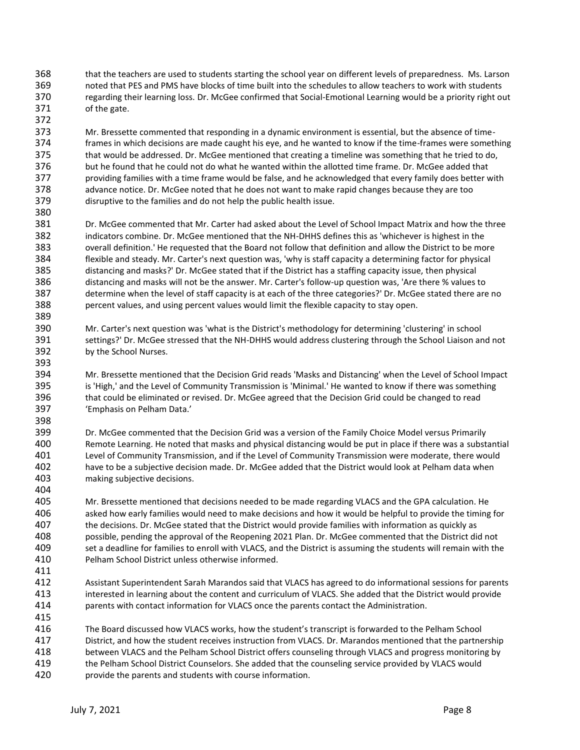- that the teachers are used to students starting the school year on different levels of preparedness. Ms. Larson noted that PES and PMS have blocks of time built into the schedules to allow teachers to work with students regarding their learning loss. Dr. McGee confirmed that Social-Emotional Learning would be a priority right out of the gate.
- Mr. Bressette commented that responding in a dynamic environment is essential, but the absence of time- frames in which decisions are made caught his eye, and he wanted to know if the time-frames were something that would be addressed. Dr. McGee mentioned that creating a timeline was something that he tried to do, but he found that he could not do what he wanted within the allotted time frame. Dr. McGee added that providing families with a time frame would be false, and he acknowledged that every family does better with advance notice. Dr. McGee noted that he does not want to make rapid changes because they are too disruptive to the families and do not help the public health issue.
- Dr. McGee commented that Mr. Carter had asked about the Level of School Impact Matrix and how the three indicators combine. Dr. McGee mentioned that the NH-DHHS defines this as 'whichever is highest in the overall definition.' He requested that the Board not follow that definition and allow the District to be more flexible and steady. Mr. Carter's next question was, 'why is staff capacity a determining factor for physical distancing and masks?' Dr. McGee stated that if the District has a staffing capacity issue, then physical distancing and masks will not be the answer. Mr. Carter's follow-up question was, 'Are there % values to determine when the level of staff capacity is at each of the three categories?' Dr. McGee stated there are no percent values, and using percent values would limit the flexible capacity to stay open.
- Mr. Carter's next question was 'what is the District's methodology for determining 'clustering' in school settings?' Dr. McGee stressed that the NH-DHHS would address clustering through the School Liaison and not by the School Nurses.
- Mr. Bressette mentioned that the Decision Grid reads 'Masks and Distancing' when the Level of School Impact is 'High,' and the Level of Community Transmission is 'Minimal.' He wanted to know if there was something that could be eliminated or revised. Dr. McGee agreed that the Decision Grid could be changed to read 'Emphasis on Pelham Data.'
- Dr. McGee commented that the Decision Grid was a version of the Family Choice Model versus Primarily Remote Learning. He noted that masks and physical distancing would be put in place if there was a substantial Level of Community Transmission, and if the Level of Community Transmission were moderate, there would have to be a subjective decision made. Dr. McGee added that the District would look at Pelham data when making subjective decisions.
- Mr. Bressette mentioned that decisions needed to be made regarding VLACS and the GPA calculation. He asked how early families would need to make decisions and how it would be helpful to provide the timing for the decisions. Dr. McGee stated that the District would provide families with information as quickly as possible, pending the approval of the Reopening 2021 Plan. Dr. McGee commented that the District did not set a deadline for families to enroll with VLACS, and the District is assuming the students will remain with the Pelham School District unless otherwise informed.
- Assistant Superintendent Sarah Marandos said that VLACS has agreed to do informational sessions for parents interested in learning about the content and curriculum of VLACS. She added that the District would provide parents with contact information for VLACS once the parents contact the Administration.
- The Board discussed how VLACS works, how the student's transcript is forwarded to the Pelham School District, and how the student receives instruction from VLACS. Dr. Marandos mentioned that the partnership between VLACS and the Pelham School District offers counseling through VLACS and progress monitoring by the Pelham School District Counselors. She added that the counseling service provided by VLACS would provide the parents and students with course information.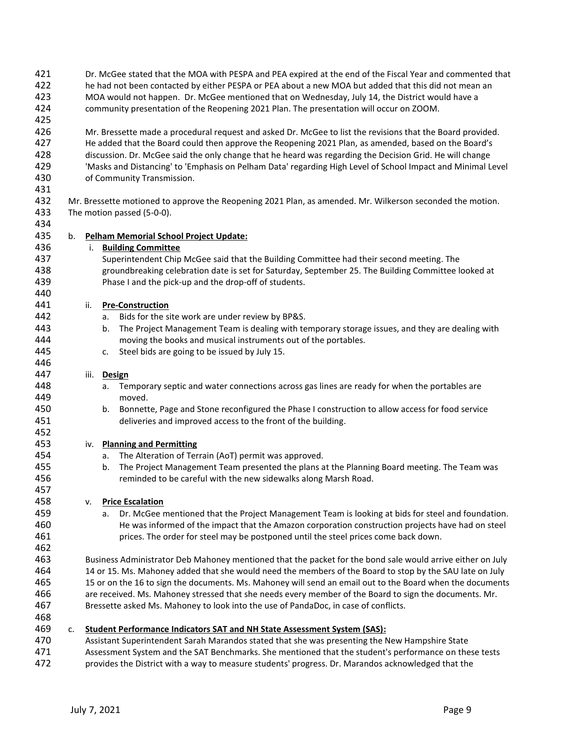| 421<br>422<br>423<br>424 |    | Dr. McGee stated that the MOA with PESPA and PEA expired at the end of the Fiscal Year and commented that<br>he had not been contacted by either PESPA or PEA about a new MOA but added that this did not mean an<br>MOA would not happen. Dr. McGee mentioned that on Wednesday, July 14, the District would have a<br>community presentation of the Reopening 2021 Plan. The presentation will occur on ZOOM. |                                                                                                                                                                                                                         |  |  |  |  |  |  |  |
|--------------------------|----|-----------------------------------------------------------------------------------------------------------------------------------------------------------------------------------------------------------------------------------------------------------------------------------------------------------------------------------------------------------------------------------------------------------------|-------------------------------------------------------------------------------------------------------------------------------------------------------------------------------------------------------------------------|--|--|--|--|--|--|--|
| 425                      |    |                                                                                                                                                                                                                                                                                                                                                                                                                 |                                                                                                                                                                                                                         |  |  |  |  |  |  |  |
| 426<br>427               |    | Mr. Bressette made a procedural request and asked Dr. McGee to list the revisions that the Board provided.<br>He added that the Board could then approve the Reopening 2021 Plan, as amended, based on the Board's                                                                                                                                                                                              |                                                                                                                                                                                                                         |  |  |  |  |  |  |  |
| 428<br>429               |    |                                                                                                                                                                                                                                                                                                                                                                                                                 | discussion. Dr. McGee said the only change that he heard was regarding the Decision Grid. He will change<br>'Masks and Distancing' to 'Emphasis on Pelham Data' regarding High Level of School Impact and Minimal Level |  |  |  |  |  |  |  |
| 430<br>431               |    |                                                                                                                                                                                                                                                                                                                                                                                                                 | of Community Transmission.                                                                                                                                                                                              |  |  |  |  |  |  |  |
| 432                      |    |                                                                                                                                                                                                                                                                                                                                                                                                                 | Mr. Bressette motioned to approve the Reopening 2021 Plan, as amended. Mr. Wilkerson seconded the motion.                                                                                                               |  |  |  |  |  |  |  |
| 433<br>434               |    |                                                                                                                                                                                                                                                                                                                                                                                                                 | The motion passed (5-0-0).                                                                                                                                                                                              |  |  |  |  |  |  |  |
| 435                      | b. |                                                                                                                                                                                                                                                                                                                                                                                                                 | <b>Pelham Memorial School Project Update:</b>                                                                                                                                                                           |  |  |  |  |  |  |  |
| 436                      |    |                                                                                                                                                                                                                                                                                                                                                                                                                 | i. Building Committee                                                                                                                                                                                                   |  |  |  |  |  |  |  |
| 437                      |    |                                                                                                                                                                                                                                                                                                                                                                                                                 | Superintendent Chip McGee said that the Building Committee had their second meeting. The                                                                                                                                |  |  |  |  |  |  |  |
| 438                      |    |                                                                                                                                                                                                                                                                                                                                                                                                                 | groundbreaking celebration date is set for Saturday, September 25. The Building Committee looked at                                                                                                                     |  |  |  |  |  |  |  |
| 439                      |    |                                                                                                                                                                                                                                                                                                                                                                                                                 | Phase I and the pick-up and the drop-off of students.                                                                                                                                                                   |  |  |  |  |  |  |  |
| 440                      |    |                                                                                                                                                                                                                                                                                                                                                                                                                 |                                                                                                                                                                                                                         |  |  |  |  |  |  |  |
| 441                      |    | ii.                                                                                                                                                                                                                                                                                                                                                                                                             | <b>Pre-Construction</b>                                                                                                                                                                                                 |  |  |  |  |  |  |  |
| 442                      |    |                                                                                                                                                                                                                                                                                                                                                                                                                 | Bids for the site work are under review by BP&S.<br>а.                                                                                                                                                                  |  |  |  |  |  |  |  |
| 443                      |    |                                                                                                                                                                                                                                                                                                                                                                                                                 | The Project Management Team is dealing with temporary storage issues, and they are dealing with<br>b.                                                                                                                   |  |  |  |  |  |  |  |
| 444                      |    |                                                                                                                                                                                                                                                                                                                                                                                                                 | moving the books and musical instruments out of the portables.                                                                                                                                                          |  |  |  |  |  |  |  |
| 445                      |    |                                                                                                                                                                                                                                                                                                                                                                                                                 | Steel bids are going to be issued by July 15.<br>c.                                                                                                                                                                     |  |  |  |  |  |  |  |
| 446                      |    |                                                                                                                                                                                                                                                                                                                                                                                                                 |                                                                                                                                                                                                                         |  |  |  |  |  |  |  |
| 447                      |    | iii.                                                                                                                                                                                                                                                                                                                                                                                                            | Design                                                                                                                                                                                                                  |  |  |  |  |  |  |  |
| 448                      |    |                                                                                                                                                                                                                                                                                                                                                                                                                 | Temporary septic and water connections across gas lines are ready for when the portables are<br>а.                                                                                                                      |  |  |  |  |  |  |  |
| 449                      |    |                                                                                                                                                                                                                                                                                                                                                                                                                 | moved.                                                                                                                                                                                                                  |  |  |  |  |  |  |  |
| 450                      |    | Bonnette, Page and Stone reconfigured the Phase I construction to allow access for food service<br>b.                                                                                                                                                                                                                                                                                                           |                                                                                                                                                                                                                         |  |  |  |  |  |  |  |
| 451                      |    | deliveries and improved access to the front of the building.                                                                                                                                                                                                                                                                                                                                                    |                                                                                                                                                                                                                         |  |  |  |  |  |  |  |
| 452                      |    |                                                                                                                                                                                                                                                                                                                                                                                                                 |                                                                                                                                                                                                                         |  |  |  |  |  |  |  |
| 453                      |    | iv.                                                                                                                                                                                                                                                                                                                                                                                                             | <b>Planning and Permitting</b>                                                                                                                                                                                          |  |  |  |  |  |  |  |
| 454                      |    |                                                                                                                                                                                                                                                                                                                                                                                                                 | The Alteration of Terrain (AoT) permit was approved.<br>а.                                                                                                                                                              |  |  |  |  |  |  |  |
| 455                      |    |                                                                                                                                                                                                                                                                                                                                                                                                                 | The Project Management Team presented the plans at the Planning Board meeting. The Team was<br>b.                                                                                                                       |  |  |  |  |  |  |  |
| 456                      |    |                                                                                                                                                                                                                                                                                                                                                                                                                 | reminded to be careful with the new sidewalks along Marsh Road.                                                                                                                                                         |  |  |  |  |  |  |  |
| 457<br>458               |    |                                                                                                                                                                                                                                                                                                                                                                                                                 |                                                                                                                                                                                                                         |  |  |  |  |  |  |  |
| 459                      |    | v.                                                                                                                                                                                                                                                                                                                                                                                                              | <b>Price Escalation</b><br>Dr. McGee mentioned that the Project Management Team is looking at bids for steel and foundation.<br>a.                                                                                      |  |  |  |  |  |  |  |
| 460                      |    |                                                                                                                                                                                                                                                                                                                                                                                                                 | He was informed of the impact that the Amazon corporation construction projects have had on steel                                                                                                                       |  |  |  |  |  |  |  |
| 461                      |    |                                                                                                                                                                                                                                                                                                                                                                                                                 | prices. The order for steel may be postponed until the steel prices come back down.                                                                                                                                     |  |  |  |  |  |  |  |
| 462                      |    |                                                                                                                                                                                                                                                                                                                                                                                                                 |                                                                                                                                                                                                                         |  |  |  |  |  |  |  |
| 463                      |    |                                                                                                                                                                                                                                                                                                                                                                                                                 | Business Administrator Deb Mahoney mentioned that the packet for the bond sale would arrive either on July                                                                                                              |  |  |  |  |  |  |  |
| 464                      |    |                                                                                                                                                                                                                                                                                                                                                                                                                 | 14 or 15. Ms. Mahoney added that she would need the members of the Board to stop by the SAU late on July                                                                                                                |  |  |  |  |  |  |  |
| 465                      |    | 15 or on the 16 to sign the documents. Ms. Mahoney will send an email out to the Board when the documents                                                                                                                                                                                                                                                                                                       |                                                                                                                                                                                                                         |  |  |  |  |  |  |  |
| 466                      |    |                                                                                                                                                                                                                                                                                                                                                                                                                 | are received. Ms. Mahoney stressed that she needs every member of the Board to sign the documents. Mr.                                                                                                                  |  |  |  |  |  |  |  |
| 467                      |    |                                                                                                                                                                                                                                                                                                                                                                                                                 | Bressette asked Ms. Mahoney to look into the use of PandaDoc, in case of conflicts.                                                                                                                                     |  |  |  |  |  |  |  |
| 468                      |    |                                                                                                                                                                                                                                                                                                                                                                                                                 |                                                                                                                                                                                                                         |  |  |  |  |  |  |  |
| 469                      | c. |                                                                                                                                                                                                                                                                                                                                                                                                                 | <b>Student Performance Indicators SAT and NH State Assessment System (SAS):</b>                                                                                                                                         |  |  |  |  |  |  |  |
| 470                      |    |                                                                                                                                                                                                                                                                                                                                                                                                                 | Assistant Superintendent Sarah Marandos stated that she was presenting the New Hampshire State                                                                                                                          |  |  |  |  |  |  |  |
| 471                      |    | Assessment System and the SAT Benchmarks. She mentioned that the student's performance on these tests                                                                                                                                                                                                                                                                                                           |                                                                                                                                                                                                                         |  |  |  |  |  |  |  |
| 472                      |    | provides the District with a way to measure students' progress. Dr. Marandos acknowledged that the                                                                                                                                                                                                                                                                                                              |                                                                                                                                                                                                                         |  |  |  |  |  |  |  |
|                          |    |                                                                                                                                                                                                                                                                                                                                                                                                                 |                                                                                                                                                                                                                         |  |  |  |  |  |  |  |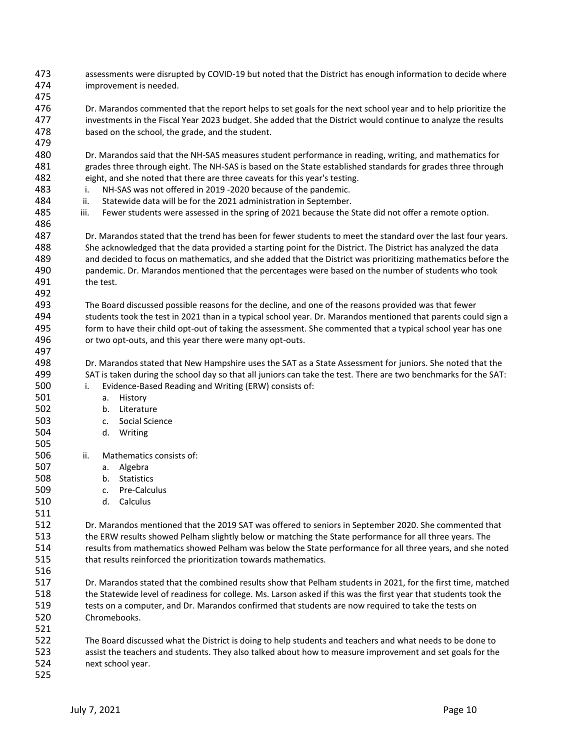assessments were disrupted by COVID-19 but noted that the District has enough information to decide where improvement is needed. 

 Dr. Marandos commented that the report helps to set goals for the next school year and to help prioritize the investments in the Fiscal Year 2023 budget. She added that the District would continue to analyze the results based on the school, the grade, and the student.

 Dr. Marandos said that the NH-SAS measures student performance in reading, writing, and mathematics for grades three through eight. The NH-SAS is based on the State established standards for grades three through eight, and she noted that there are three caveats for this year's testing.

i. NH-SAS was not offered in 2019 -2020 because of the pandemic.

e. 505

- ii. Statewide data will be for the 2021 administration in September.
- 485 iii. Fewer students were assessed in the spring of 2021 because the State did not offer a remote option.

 Dr. Marandos stated that the trend has been for fewer students to meet the standard over the last four years. She acknowledged that the data provided a starting point for the District. The District has analyzed the data and decided to focus on mathematics, and she added that the District was prioritizing mathematics before the pandemic. Dr. Marandos mentioned that the percentages were based on the number of students who took the test.

 The Board discussed possible reasons for the decline, and one of the reasons provided was that fewer students took the test in 2021 than in a typical school year. Dr. Marandos mentioned that parents could sign a form to have their child opt-out of taking the assessment. She commented that a typical school year has one or two opt-outs, and this year there were many opt-outs.

 Dr. Marandos stated that New Hampshire uses the SAT as a State Assessment for juniors. She noted that the SAT is taken during the school day so that all juniors can take the test. There are two benchmarks for the SAT:

- i. Evidence-Based Reading and Writing (ERW) consists of:
- a. History
- b. Literature
- c. Social Science
- d. Writing
- ii. Mathematics consists of:
- a. Algebra
- b. Statistics
- c. Pre-Calculus
- d. Calculus

 Dr. Marandos mentioned that the 2019 SAT was offered to seniors in September 2020. She commented that the ERW results showed Pelham slightly below or matching the State performance for all three years. The results from mathematics showed Pelham was below the State performance for all three years, and she noted that results reinforced the prioritization towards mathematics.

 Dr. Marandos stated that the combined results show that Pelham students in 2021, for the first time, matched the Statewide level of readiness for college. Ms. Larson asked if this was the first year that students took the tests on a computer, and Dr. Marandos confirmed that students are now required to take the tests on Chromebooks.

 The Board discussed what the District is doing to help students and teachers and what needs to be done to assist the teachers and students. They also talked about how to measure improvement and set goals for the next school year.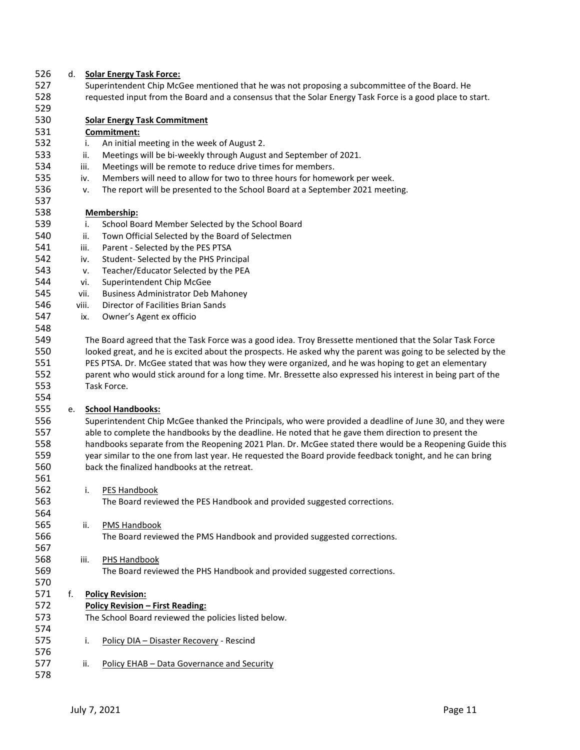| 526 | d. |       | <b>Solar Energy Task Force:</b>                                                                               |  |  |  |  |  |  |
|-----|----|-------|---------------------------------------------------------------------------------------------------------------|--|--|--|--|--|--|
| 527 |    |       | Superintendent Chip McGee mentioned that he was not proposing a subcommittee of the Board. He                 |  |  |  |  |  |  |
| 528 |    |       | requested input from the Board and a consensus that the Solar Energy Task Force is a good place to start.     |  |  |  |  |  |  |
| 529 |    |       |                                                                                                               |  |  |  |  |  |  |
| 530 |    |       | <b>Solar Energy Task Commitment</b>                                                                           |  |  |  |  |  |  |
| 531 |    |       | Commitment:                                                                                                   |  |  |  |  |  |  |
| 532 |    | i.    | An initial meeting in the week of August 2.                                                                   |  |  |  |  |  |  |
| 533 |    | ii.   | Meetings will be bi-weekly through August and September of 2021.                                              |  |  |  |  |  |  |
| 534 |    | iii.  | Meetings will be remote to reduce drive times for members.                                                    |  |  |  |  |  |  |
| 535 |    | iv.   | Members will need to allow for two to three hours for homework per week.                                      |  |  |  |  |  |  |
| 536 |    | v.    | The report will be presented to the School Board at a September 2021 meeting.                                 |  |  |  |  |  |  |
| 537 |    |       |                                                                                                               |  |  |  |  |  |  |
| 538 |    |       |                                                                                                               |  |  |  |  |  |  |
| 539 |    |       | Membership:                                                                                                   |  |  |  |  |  |  |
|     |    | i.    | School Board Member Selected by the School Board                                                              |  |  |  |  |  |  |
| 540 |    | ii.   | Town Official Selected by the Board of Selectmen                                                              |  |  |  |  |  |  |
| 541 |    | iii.  | Parent - Selected by the PES PTSA                                                                             |  |  |  |  |  |  |
| 542 |    | iv.   | Student-Selected by the PHS Principal                                                                         |  |  |  |  |  |  |
| 543 |    | v.    | Teacher/Educator Selected by the PEA                                                                          |  |  |  |  |  |  |
| 544 |    | vi.   | Superintendent Chip McGee                                                                                     |  |  |  |  |  |  |
| 545 |    | vii.  | <b>Business Administrator Deb Mahoney</b>                                                                     |  |  |  |  |  |  |
| 546 |    | viii. | Director of Facilities Brian Sands                                                                            |  |  |  |  |  |  |
| 547 |    | ix.   | Owner's Agent ex officio                                                                                      |  |  |  |  |  |  |
| 548 |    |       |                                                                                                               |  |  |  |  |  |  |
| 549 |    |       | The Board agreed that the Task Force was a good idea. Troy Bressette mentioned that the Solar Task Force      |  |  |  |  |  |  |
| 550 |    |       | looked great, and he is excited about the prospects. He asked why the parent was going to be selected by the  |  |  |  |  |  |  |
| 551 |    |       | PES PTSA. Dr. McGee stated that was how they were organized, and he was hoping to get an elementary           |  |  |  |  |  |  |
| 552 |    |       | parent who would stick around for a long time. Mr. Bressette also expressed his interest in being part of the |  |  |  |  |  |  |
| 553 |    |       | Task Force.                                                                                                   |  |  |  |  |  |  |
| 554 |    |       |                                                                                                               |  |  |  |  |  |  |
| 555 | е. |       | <b>School Handbooks:</b>                                                                                      |  |  |  |  |  |  |
| 556 |    |       | Superintendent Chip McGee thanked the Principals, who were provided a deadline of June 30, and they were      |  |  |  |  |  |  |
| 557 |    |       | able to complete the handbooks by the deadline. He noted that he gave them direction to present the           |  |  |  |  |  |  |
| 558 |    |       | handbooks separate from the Reopening 2021 Plan. Dr. McGee stated there would be a Reopening Guide this       |  |  |  |  |  |  |
| 559 |    |       | year similar to the one from last year. He requested the Board provide feedback tonight, and he can bring     |  |  |  |  |  |  |
| 560 |    |       | back the finalized handbooks at the retreat.                                                                  |  |  |  |  |  |  |
| 561 |    |       |                                                                                                               |  |  |  |  |  |  |
| 562 |    | i.    | PES Handbook                                                                                                  |  |  |  |  |  |  |
| 563 |    |       | The Board reviewed the PES Handbook and provided suggested corrections.                                       |  |  |  |  |  |  |
| 564 |    |       |                                                                                                               |  |  |  |  |  |  |
| 565 |    | ii.   | PMS Handbook                                                                                                  |  |  |  |  |  |  |
| 566 |    |       | The Board reviewed the PMS Handbook and provided suggested corrections.                                       |  |  |  |  |  |  |
| 567 |    |       |                                                                                                               |  |  |  |  |  |  |
| 568 |    | iii.  | PHS Handbook                                                                                                  |  |  |  |  |  |  |
| 569 |    |       | The Board reviewed the PHS Handbook and provided suggested corrections.                                       |  |  |  |  |  |  |
| 570 |    |       |                                                                                                               |  |  |  |  |  |  |
| 571 | f. |       | <b>Policy Revision:</b>                                                                                       |  |  |  |  |  |  |
| 572 |    |       | <b>Policy Revision - First Reading:</b>                                                                       |  |  |  |  |  |  |
| 573 |    |       | The School Board reviewed the policies listed below.                                                          |  |  |  |  |  |  |
| 574 |    |       |                                                                                                               |  |  |  |  |  |  |
| 575 |    |       |                                                                                                               |  |  |  |  |  |  |
|     |    | i.    | Policy DIA - Disaster Recovery - Rescind                                                                      |  |  |  |  |  |  |
| 576 |    |       |                                                                                                               |  |  |  |  |  |  |
| 577 |    | ii.   | Policy EHAB - Data Governance and Security                                                                    |  |  |  |  |  |  |
| 578 |    |       |                                                                                                               |  |  |  |  |  |  |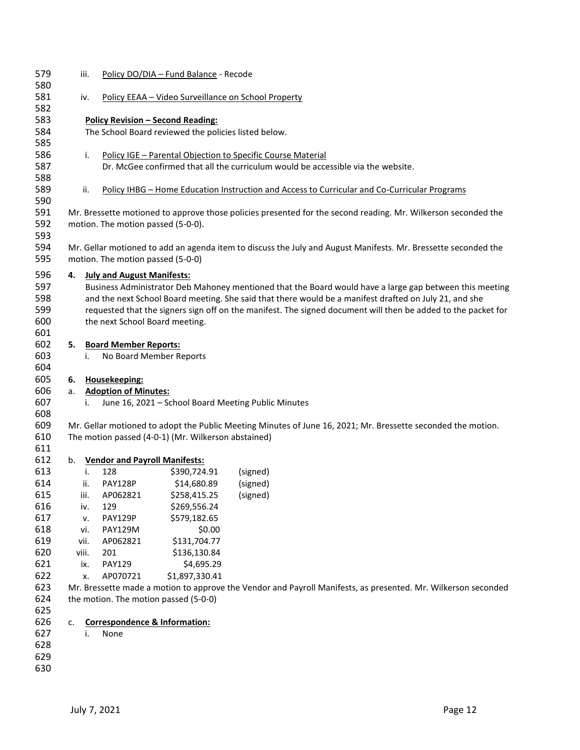| 579 |       | iii. |                                    | Policy DO/DIA - Fund Balance - Recode                |                                                                                                                |
|-----|-------|------|------------------------------------|------------------------------------------------------|----------------------------------------------------------------------------------------------------------------|
| 580 |       |      |                                    |                                                      |                                                                                                                |
| 581 |       | iv.  |                                    |                                                      | Policy EEAA - Video Surveillance on School Property                                                            |
| 582 |       |      |                                    |                                                      |                                                                                                                |
| 583 |       |      |                                    | <b>Policy Revision - Second Reading:</b>             |                                                                                                                |
| 584 |       |      |                                    | The School Board reviewed the policies listed below. |                                                                                                                |
| 585 |       |      |                                    |                                                      |                                                                                                                |
| 586 |       | i.   |                                    |                                                      | Policy IGE - Parental Objection to Specific Course Material                                                    |
| 587 |       |      |                                    |                                                      | Dr. McGee confirmed that all the curriculum would be accessible via the website.                               |
| 588 |       |      |                                    |                                                      |                                                                                                                |
|     |       |      |                                    |                                                      |                                                                                                                |
| 589 |       | ii.  |                                    |                                                      | Policy IHBG - Home Education Instruction and Access to Curricular and Co-Curricular Programs                   |
| 590 |       |      |                                    |                                                      |                                                                                                                |
| 591 |       |      |                                    |                                                      | Mr. Bressette motioned to approve those policies presented for the second reading. Mr. Wilkerson seconded the  |
| 592 |       |      | motion. The motion passed (5-0-0). |                                                      |                                                                                                                |
| 593 |       |      |                                    |                                                      |                                                                                                                |
| 594 |       |      |                                    |                                                      | Mr. Gellar motioned to add an agenda item to discuss the July and August Manifests. Mr. Bressette seconded the |
| 595 |       |      | motion. The motion passed (5-0-0)  |                                                      |                                                                                                                |
| 596 | 4.    |      | <b>July and August Manifests:</b>  |                                                      |                                                                                                                |
| 597 |       |      |                                    |                                                      | Business Administrator Deb Mahoney mentioned that the Board would have a large gap between this meeting        |
| 598 |       |      |                                    |                                                      | and the next School Board meeting. She said that there would be a manifest drafted on July 21, and she         |
| 599 |       |      |                                    |                                                      | requested that the signers sign off on the manifest. The signed document will then be added to the packet for  |
| 600 |       |      | the next School Board meeting.     |                                                      |                                                                                                                |
| 601 |       |      |                                    |                                                      |                                                                                                                |
| 602 | 5.    |      | <b>Board Member Reports:</b>       |                                                      |                                                                                                                |
| 603 |       | i.   | No Board Member Reports            |                                                      |                                                                                                                |
| 604 |       |      |                                    |                                                      |                                                                                                                |
| 605 |       |      |                                    |                                                      |                                                                                                                |
|     | 6.    |      | Housekeeping:                      |                                                      |                                                                                                                |
| 606 | а.    |      | <b>Adoption of Minutes:</b>        |                                                      |                                                                                                                |
| 607 |       | i.   |                                    |                                                      | June 16, 2021 - School Board Meeting Public Minutes                                                            |
| 608 |       |      |                                    |                                                      |                                                                                                                |
| 609 |       |      |                                    |                                                      | Mr. Gellar motioned to adopt the Public Meeting Minutes of June 16, 2021; Mr. Bressette seconded the motion.   |
| 610 |       |      |                                    | The motion passed (4-0-1) (Mr. Wilkerson abstained)  |                                                                                                                |
| 611 |       |      |                                    |                                                      |                                                                                                                |
| 612 |       |      | b. Vendor and Payroll Manifests:   |                                                      |                                                                                                                |
| 613 |       | i.   | 128                                | \$390,724.91                                         | (signed)                                                                                                       |
| 614 |       | ii.  | <b>PAY128P</b>                     | \$14,680.89                                          | (signed)                                                                                                       |
| 615 |       | iii. | AP062821                           | \$258,415.25                                         | (signed)                                                                                                       |
| 616 |       | iv.  | 129                                | \$269,556.24                                         |                                                                                                                |
| 617 |       | v.   | PAY129P                            | \$579,182.65                                         |                                                                                                                |
| 618 |       | vi.  | <b>PAY129M</b>                     | \$0.00                                               |                                                                                                                |
| 619 | vii.  |      | AP062821                           | \$131,704.77                                         |                                                                                                                |
| 620 | viii. |      | 201                                | \$136,130.84                                         |                                                                                                                |
| 621 |       | ix.  | <b>PAY129</b>                      | \$4,695.29                                           |                                                                                                                |
| 622 |       | х.   | AP070721                           | \$1,897,330.41                                       |                                                                                                                |
| 623 |       |      |                                    |                                                      | Mr. Bressette made a motion to approve the Vendor and Payroll Manifests, as presented. Mr. Wilkerson seconded  |
| 624 |       |      |                                    | the motion. The motion passed (5-0-0)                |                                                                                                                |
| 625 |       |      |                                    |                                                      |                                                                                                                |
| 626 | c.    |      |                                    | <b>Correspondence &amp; Information:</b>             |                                                                                                                |
| 627 |       | i.   | None                               |                                                      |                                                                                                                |
| 628 |       |      |                                    |                                                      |                                                                                                                |
| 629 |       |      |                                    |                                                      |                                                                                                                |
| 630 |       |      |                                    |                                                      |                                                                                                                |
|     |       |      |                                    |                                                      |                                                                                                                |